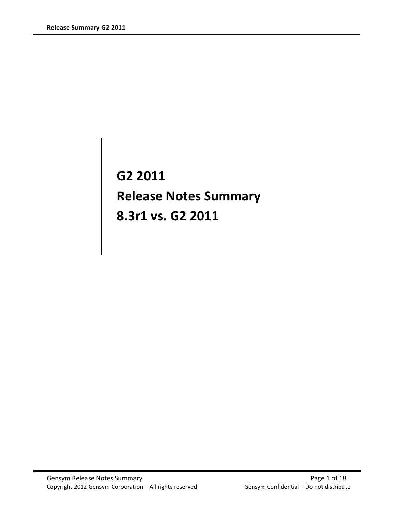G2 2011 Release Notes Summary 8.3r1 vs. G2 2011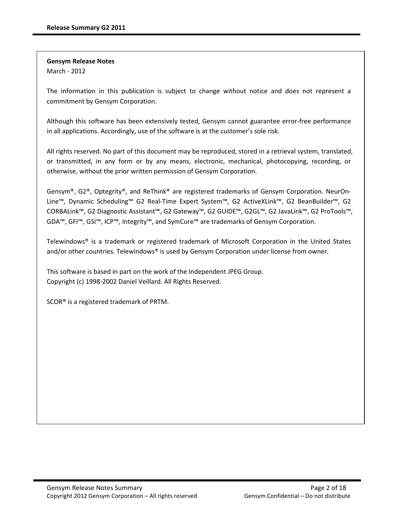Gensym Release Notes March - 2012

The information in this publication is subject to change without notice and does not represent a commitment by Gensym Corporation.

Although this software has been extensively tested, Gensym cannot guarantee error-free performance in all applications. Accordingly, use of the software is at the customer's sole risk.

All rights reserved. No part of this document may be reproduced, stored in a retrieval system, translated, or transmitted, in any form or by any means, electronic, mechanical, photocopying, recording, or otherwise, without the prior written permission of Gensym Corporation.

Gensym®, G2®, Optegrity®, and ReThink® are registered trademarks of Gensym Corporation. NeurOn-Line™, Dynamic Scheduling™ G2 Real-Time Expert System™, G2 ActiveXLink™, G2 BeanBuilder™, G2 CORBALink™, G2 Diagnostic Assistant™, G2 Gateway™, G2 GUIDE™, G2GL™, G2 JavaLink™, G2 ProTools™, GDA™, GFI™, GSI™, ICP™, Integrity™, and SymCure™ are trademarks of Gensym Corporation.

Telewindows® is a trademark or registered trademark of Microsoft Corporation in the United States and/or other countries. Telewindows® is used by Gensym Corporation under license from owner.

This software is based in part on the work of the Independent JPEG Group. Copyright (c) 1998-2002 Daniel Veillard. All Rights Reserved.

SCOR® is a registered trademark of PRTM.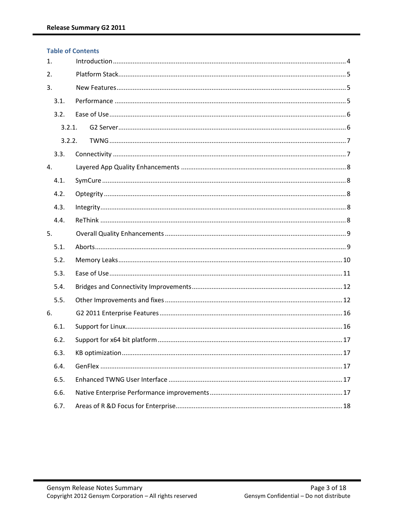|      | <b>Table of Contents</b> |  |  |  |  |
|------|--------------------------|--|--|--|--|
| 1.   |                          |  |  |  |  |
| 2.   |                          |  |  |  |  |
| 3.   |                          |  |  |  |  |
| 3.1. |                          |  |  |  |  |
| 3.2. |                          |  |  |  |  |
|      | 3.2.1.                   |  |  |  |  |
|      | 3.2.2.                   |  |  |  |  |
| 3.3. |                          |  |  |  |  |
| 4.   |                          |  |  |  |  |
| 4.1. |                          |  |  |  |  |
| 4.2. |                          |  |  |  |  |
| 4.3. |                          |  |  |  |  |
| 4.4. |                          |  |  |  |  |
| 5.   |                          |  |  |  |  |
| 5.1. |                          |  |  |  |  |
| 5.2. |                          |  |  |  |  |
| 5.3. |                          |  |  |  |  |
| 5.4. |                          |  |  |  |  |
| 5.5. |                          |  |  |  |  |
| 6.   |                          |  |  |  |  |
| 6.1. |                          |  |  |  |  |
| 6.2. |                          |  |  |  |  |
| 6.3. |                          |  |  |  |  |
| 6.4. |                          |  |  |  |  |
| 6.5. |                          |  |  |  |  |
| 6.6. |                          |  |  |  |  |
| 6.7. |                          |  |  |  |  |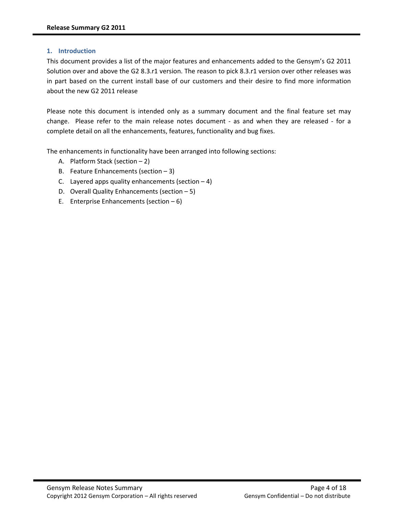### 1. Introduction

This document provides a list of the major features and enhancements added to the Gensym's G2 2011 Solution over and above the G2 8.3.r1 version. The reason to pick 8.3.r1 version over other releases was in part based on the current install base of our customers and their desire to find more information about the new G2 2011 release

Please note this document is intended only as a summary document and the final feature set may change. Please refer to the main release notes document - as and when they are released - for a complete detail on all the enhancements, features, functionality and bug fixes.

The enhancements in functionality have been arranged into following sections:

- A. Platform Stack (section 2)
- B. Feature Enhancements (section  $-3$ )
- C. Layered apps quality enhancements (section  $-4$ )
- D. Overall Quality Enhancements (section 5)
- E. Enterprise Enhancements (section  $-6$ )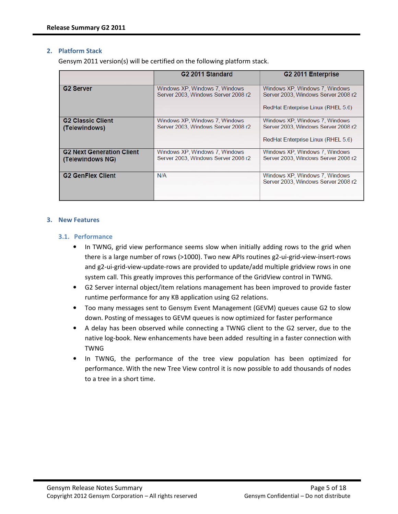#### 2. Platform Stack

Gensym 2011 version(s) will be certified on the following platform stack.

|                                                      | G <sub>2</sub> 2011 Standard                                          | G <sub>2</sub> 2011 Enterprise                                                                              |
|------------------------------------------------------|-----------------------------------------------------------------------|-------------------------------------------------------------------------------------------------------------|
| <b>G2 Server</b>                                     | Windows XP, Windows 7, Windows<br>Server 2003, Windows Server 2008 r2 | Windows XP, Windows 7, Windows<br>Server 2003, Windows Server 2008 r2<br>RedHat Enterprise Linux (RHEL 5.6) |
| <b>G2 Classic Client</b><br>(Telewindows)            | Windows XP, Windows 7, Windows<br>Server 2003, Windows Server 2008 r2 | Windows XP, Windows 7, Windows<br>Server 2003, Windows Server 2008 r2<br>RedHat Enterprise Linux (RHEL 5.6) |
| <b>G2 Next Generation Client</b><br>(Telewindows NG) | Windows XP, Windows 7, Windows<br>Server 2003, Windows Server 2008 r2 | Windows XP, Windows 7, Windows<br>Server 2003, Windows Server 2008 r2                                       |
| <b>G2 GenFlex Client</b>                             | N/A                                                                   | Windows XP, Windows 7, Windows<br>Server 2003, Windows Server 2008 r2                                       |

#### 3. New Features

### 3.1. Performance

- In TWNG, grid view performance seems slow when initially adding rows to the grid when there is a large number of rows (>1000). Two new APIs routines g2-ui-grid-view-insert-rows and g2-ui-grid-view-update-rows are provided to update/add multiple gridview rows in one system call. This greatly improves this performance of the GridView control in TWNG.
- G2 Server internal object/item relations management has been improved to provide faster runtime performance for any KB application using G2 relations.
- Too many messages sent to Gensym Event Management (GEVM) queues cause G2 to slow down. Posting of messages to GEVM queues is now optimized for faster performance
- A delay has been observed while connecting a TWNG client to the G2 server, due to the native log-book. New enhancements have been added resulting in a faster connection with TWNG
- In TWNG, the performance of the tree view population has been optimized for performance. With the new Tree View control it is now possible to add thousands of nodes to a tree in a short time.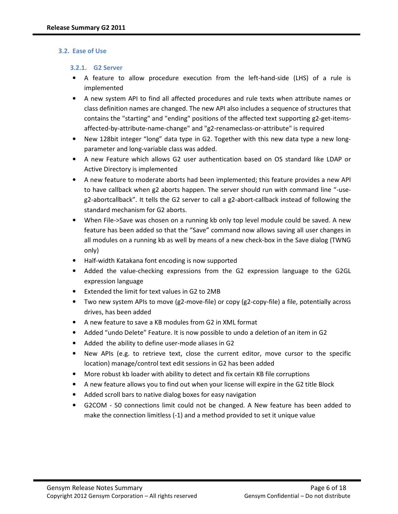#### 3.2. Ease of Use

#### 3.2.1. G2 Server

- A feature to allow procedure execution from the left-hand-side (LHS) of a rule is implemented
- A new system API to find all affected procedures and rule texts when attribute names or class definition names are changed. The new API also includes a sequence of structures that contains the "starting" and "ending" positions of the affected text supporting g2-get-itemsaffected-by-attribute-name-change" and "g2-renameclass-or-attribute" is required
- New 128bit integer "long" data type in G2. Together with this new data type a new longparameter and long-variable class was added.
- A new Feature which allows G2 user authentication based on OS standard like LDAP or Active Directory is implemented
- A new feature to moderate aborts had been implemented; this feature provides a new API to have callback when g2 aborts happen. The server should run with command line "-useg2-abortcallback". It tells the G2 server to call a g2-abort-callback instead of following the standard mechanism for G2 aborts.
- When File->Save was chosen on a running kb only top level module could be saved. A new feature has been added so that the "Save" command now allows saving all user changes in all modules on a running kb as well by means of a new check-box in the Save dialog (TWNG only)
- Half-width Katakana font encoding is now supported
- Added the value-checking expressions from the G2 expression language to the G2GL expression language
- Extended the limit for text values in G2 to 2MB
- Two new system APIs to move (g2-move-file) or copy (g2-copy-file) a file, potentially across drives, has been added
- A new feature to save a KB modules from G2 in XML format
- Added "undo Delete" Feature. It is now possible to undo a deletion of an item in G2
- Added the ability to define user-mode aliases in G2
- New APIs (e.g. to retrieve text, close the current editor, move cursor to the specific location) manage/control text edit sessions in G2 has been added
- More robust kb loader with ability to detect and fix certain KB file corruptions
- A new feature allows you to find out when your license will expire in the G2 title Block
- Added scroll bars to native dialog boxes for easy navigation
- G2COM 50 connections limit could not be changed. A New feature has been added to make the connection limitless (-1) and a method provided to set it unique value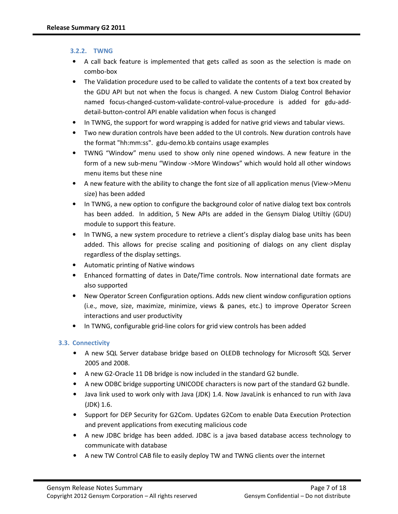# 3.2.2. TWNG

- A call back feature is implemented that gets called as soon as the selection is made on combo-box
- The Validation procedure used to be called to validate the contents of a text box created by the GDU API but not when the focus is changed. A new Custom Dialog Control Behavior named focus-changed-custom-validate-control-value-procedure is added for gdu-adddetail-button-control API enable validation when focus is changed
- In TWNG, the support for word wrapping is added for native grid views and tabular views.
- Two new duration controls have been added to the UI controls. New duration controls have the format "hh:mm:ss". gdu-demo.kb contains usage examples
- TWNG "Window" menu used to show only nine opened windows. A new feature in the form of a new sub-menu "Window ->More Windows" which would hold all other windows menu items but these nine
- A new feature with the ability to change the font size of all application menus (View->Menu size) has been added
- In TWNG, a new option to configure the background color of native dialog text box controls has been added. In addition, 5 New APIs are added in the Gensym Dialog Utiltiy (GDU) module to support this feature.
- In TWNG, a new system procedure to retrieve a client's display dialog base units has been added. This allows for precise scaling and positioning of dialogs on any client display regardless of the display settings.
- Automatic printing of Native windows
- Enhanced formatting of dates in Date/Time controls. Now international date formats are also supported
- New Operator Screen Configuration options. Adds new client window configuration options (i.e., move, size, maximize, minimize, views & panes, etc.) to improve Operator Screen interactions and user productivity
- In TWNG, configurable grid-line colors for grid view controls has been added

# 3.3. Connectivity

- A new SQL Server database bridge based on OLEDB technology for Microsoft SQL Server 2005 and 2008.
- A new G2-Oracle 11 DB bridge is now included in the standard G2 bundle.
- A new ODBC bridge supporting UNICODE characters is now part of the standard G2 bundle.
- Java link used to work only with Java (JDK) 1.4. Now JavaLink is enhanced to run with Java (JDK) 1.6.
- Support for DEP Security for G2Com. Updates G2Com to enable Data Execution Protection and prevent applications from executing malicious code
- A new JDBC bridge has been added. JDBC is a java based database access technology to communicate with database
- A new TW Control CAB file to easily deploy TW and TWNG clients over the internet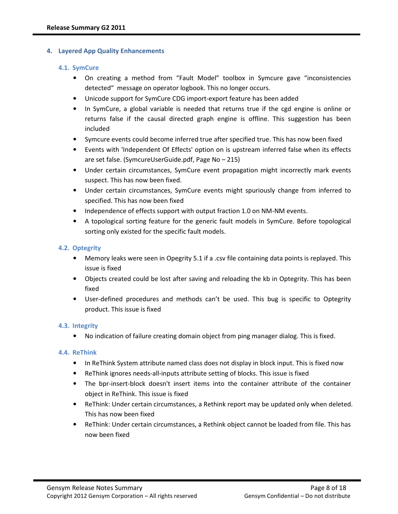### 4. Layered App Quality Enhancements

### 4.1. SymCure

- On creating a method from "Fault Model" toolbox in Symcure gave "inconsistencies detected" message on operator logbook. This no longer occurs.
- Unicode support for SymCure CDG import-export feature has been added
- In SymCure, a global variable is needed that returns true if the cgd engine is online or returns false if the causal directed graph engine is offline. This suggestion has been included
- Symcure events could become inferred true after specified true. This has now been fixed
- Events with 'Independent Of Effects' option on is upstream inferred false when its effects are set false. (SymcureUserGuide.pdf, Page No – 215)
- Under certain circumstances, SymCure event propagation might incorrectly mark events suspect. This has now been fixed.
- Under certain circumstances, SymCure events might spuriously change from inferred to specified. This has now been fixed
- Independence of effects support with output fraction 1.0 on NM-NM events.
- A topological sorting feature for the generic fault models in SymCure. Before topological sorting only existed for the specific fault models.

# 4.2. Optegrity

- Memory leaks were seen in Opegrity 5.1 if a .csv file containing data points is replayed. This issue is fixed
- Objects created could be lost after saving and reloading the kb in Optegrity. This has been fixed
- User-defined procedures and methods can't be used. This bug is specific to Optegrity product. This issue is fixed

# 4.3. Integrity

• No indication of failure creating domain object from ping manager dialog. This is fixed.

# 4.4. ReThink

- In ReThink System attribute named class does not display in block input. This is fixed now
- ReThink ignores needs-all-inputs attribute setting of blocks. This issue is fixed
- The bpr-insert-block doesn't insert items into the container attribute of the container object in ReThink. This issue is fixed
- ReThink: Under certain circumstances, a Rethink report may be updated only when deleted. This has now been fixed
- ReThink: Under certain circumstances, a Rethink object cannot be loaded from file. This has now been fixed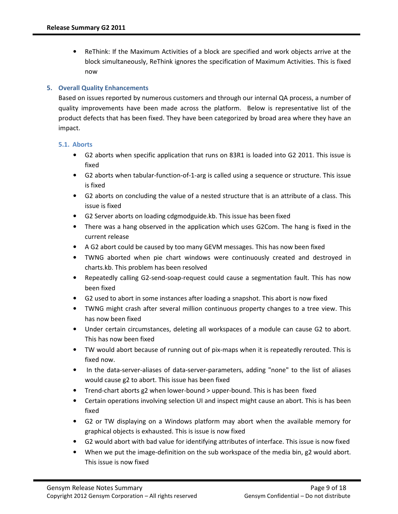• ReThink: If the Maximum Activities of a block are specified and work objects arrive at the block simultaneously, ReThink ignores the specification of Maximum Activities. This is fixed now

## 5. Overall Quality Enhancements

Based on issues reported by numerous customers and through our internal QA process, a number of quality improvements have been made across the platform. Below is representative list of the product defects that has been fixed. They have been categorized by broad area where they have an impact.

### 5.1. Aborts

- G2 aborts when specific application that runs on 83R1 is loaded into G2 2011. This issue is fixed
- G2 aborts when tabular-function-of-1-arg is called using a sequence or structure. This issue is fixed
- G2 aborts on concluding the value of a nested structure that is an attribute of a class. This issue is fixed
- G2 Server aborts on loading cdgmodguide.kb. This issue has been fixed
- There was a hang observed in the application which uses G2Com. The hang is fixed in the current release
- A G2 abort could be caused by too many GEVM messages. This has now been fixed
- TWNG aborted when pie chart windows were continuously created and destroyed in charts.kb. This problem has been resolved
- Repeatedly calling G2-send-soap-request could cause a segmentation fault. This has now been fixed
- G2 used to abort in some instances after loading a snapshot. This abort is now fixed
- TWNG might crash after several million continuous property changes to a tree view. This has now been fixed
- Under certain circumstances, deleting all workspaces of a module can cause G2 to abort. This has now been fixed
- TW would abort because of running out of pix-maps when it is repeatedly rerouted. This is fixed now.
- In the data-server-aliases of data-server-parameters, adding "none" to the list of aliases would cause g2 to abort. This issue has been fixed
- Trend-chart aborts g2 when lower-bound > upper-bound. This is has been fixed
- Certain operations involving selection UI and inspect might cause an abort. This is has been fixed
- G2 or TW displaying on a Windows platform may abort when the available memory for graphical objects is exhausted. This is issue is now fixed
- G2 would abort with bad value for identifying attributes of interface. This issue is now fixed
- When we put the image-definition on the sub workspace of the media bin, g2 would abort. This issue is now fixed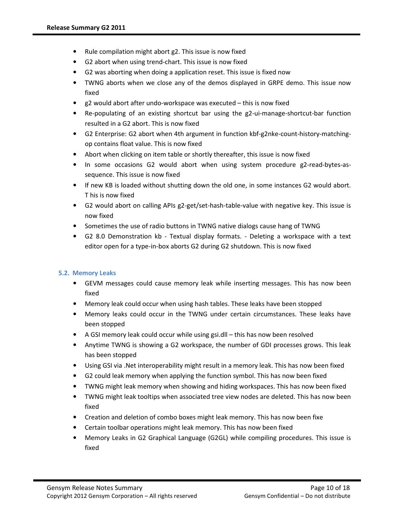- Rule compilation might abort g2. This issue is now fixed
- G2 abort when using trend-chart. This issue is now fixed
- G2 was aborting when doing a application reset. This issue is fixed now
- TWNG aborts when we close any of the demos displayed in GRPE demo. This issue now fixed
- g2 would abort after undo-workspace was executed this is now fixed
- Re-populating of an existing shortcut bar using the g2-ui-manage-shortcut-bar function resulted in a G2 abort. This is now fixed
- G2 Enterprise: G2 abort when 4th argument in function kbf-g2nke-count-history-matchingop contains float value. This is now fixed
- Abort when clicking on item table or shortly thereafter, this issue is now fixed
- In some occasions G2 would abort when using system procedure g2-read-bytes-assequence. This issue is now fixed
- If new KB is loaded without shutting down the old one, in some instances G2 would abort. T his is now fixed
- G2 would abort on calling APIs g2-get/set-hash-table-value with negative key. This issue is now fixed
- Sometimes the use of radio buttons in TWNG native dialogs cause hang of TWNG
- G2 8.0 Demonstration kb Textual display formats. Deleting a workspace with a text editor open for a type-in-box aborts G2 during G2 shutdown. This is now fixed

# 5.2. Memory Leaks

- GEVM messages could cause memory leak while inserting messages. This has now been fixed
- Memory leak could occur when using hash tables. These leaks have been stopped
- Memory leaks could occur in the TWNG under certain circumstances. These leaks have been stopped
- A GSI memory leak could occur while using gsi.dll this has now been resolved
- Anytime TWNG is showing a G2 workspace, the number of GDI processes grows. This leak has been stopped
- Using GSI via .Net interoperability might result in a memory leak. This has now been fixed
- G2 could leak memory when applying the function symbol. This has now been fixed
- TWNG might leak memory when showing and hiding workspaces. This has now been fixed
- TWNG might leak tooltips when associated tree view nodes are deleted. This has now been fixed
- Creation and deletion of combo boxes might leak memory. This has now been fixe
- Certain toolbar operations might leak memory. This has now been fixed
- Memory Leaks in G2 Graphical Language (G2GL) while compiling procedures. This issue is fixed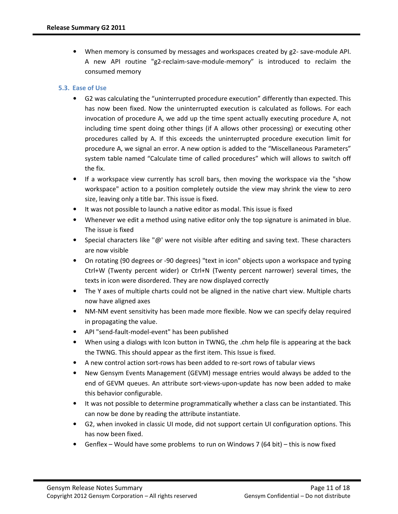• When memory is consumed by messages and workspaces created by g2- save-module API. A new API routine "g2-reclaim-save-module-memory" is introduced to reclaim the consumed memory

# 5.3. Ease of Use

- G2 was calculating the "uninterrupted procedure execution" differently than expected. This has now been fixed. Now the uninterrupted execution is calculated as follows. For each invocation of procedure A, we add up the time spent actually executing procedure A, not including time spent doing other things (if A allows other processing) or executing other procedures called by A. If this exceeds the uninterrupted procedure execution limit for procedure A, we signal an error. A new option is added to the "Miscellaneous Parameters" system table named "Calculate time of called procedures" which will allows to switch off the fix.
- If a workspace view currently has scroll bars, then moving the workspace via the "show workspace" action to a position completely outside the view may shrink the view to zero size, leaving only a title bar. This issue is fixed.
- It was not possible to launch a native editor as modal. This issue is fixed
- Whenever we edit a method using native editor only the top signature is animated in blue. The issue is fixed
- Special characters like " $\omega$ " were not visible after editing and saving text. These characters are now visible
- On rotating (90 degrees or -90 degrees) "text in icon" objects upon a workspace and typing Ctrl+W (Twenty percent wider) or Ctrl+N (Twenty percent narrower) several times, the texts in icon were disordered. They are now displayed correctly
- The Y axes of multiple charts could not be aligned in the native chart view. Multiple charts now have aligned axes
- NM-NM event sensitivity has been made more flexible. Now we can specify delay required in propagating the value.
- API "send-fault-model-event" has been published
- When using a dialogs with Icon button in TWNG, the .chm help file is appearing at the back the TWNG. This should appear as the first item. This Issue is fixed.
- A new control action sort-rows has been added to re-sort rows of tabular views
- New Gensym Events Management (GEVM) message entries would always be added to the end of GEVM queues. An attribute sort-views-upon-update has now been added to make this behavior configurable.
- It was not possible to determine programmatically whether a class can be instantiated. This can now be done by reading the attribute instantiate.
- G2, when invoked in classic UI mode, did not support certain UI configuration options. This has now been fixed.
- Genflex Would have some problems to run on Windows 7 (64 bit) this is now fixed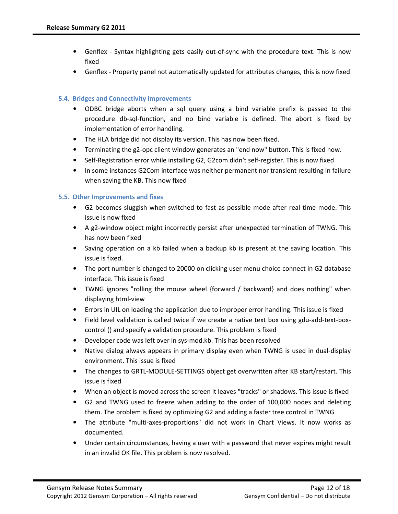- Genflex Syntax highlighting gets easily out-of-sync with the procedure text. This is now fixed
- Genflex Property panel not automatically updated for attributes changes, this is now fixed

## 5.4. Bridges and Connectivity Improvements

- ODBC bridge aborts when a sql query using a bind variable prefix is passed to the procedure db-sql-function, and no bind variable is defined. The abort is fixed by implementation of error handling.
- The HLA bridge did not display its version. This has now been fixed.
- Terminating the g2-opc client window generates an "end now" button. This is fixed now.
- Self-Registration error while installing G2, G2com didn't self-register. This is now fixed
- In some instances G2Com interface was neither permanent nor transient resulting in failure when saving the KB. This now fixed

### 5.5. Other Improvements and fixes

- G2 becomes sluggish when switched to fast as possible mode after real time mode. This issue is now fixed
- A g2-window object might incorrectly persist after unexpected termination of TWNG. This has now been fixed
- Saving operation on a kb failed when a backup kb is present at the saving location. This issue is fixed.
- The port number is changed to 20000 on clicking user menu choice connect in G2 database interface. This issue is fixed
- TWNG ignores "rolling the mouse wheel {forward / backward} and does nothing" when displaying html-view
- Errors in UIL on loading the application due to improper error handling. This issue is fixed
- Field level validation is called twice if we create a native text box using gdu-add-text-boxcontrol () and specify a validation procedure. This problem is fixed
- Developer code was left over in sys-mod.kb. This has been resolved
- Native dialog always appears in primary display even when TWNG is used in dual-display environment. This issue is fixed
- The changes to GRTL-MODULE-SETTINGS object get overwritten after KB start/restart. This issue is fixed
- When an object is moved across the screen it leaves "tracks" or shadows. This issue is fixed
- G2 and TWNG used to freeze when adding to the order of 100,000 nodes and deleting them. The problem is fixed by optimizing G2 and adding a faster tree control in TWNG
- The attribute "multi-axes-proportions" did not work in Chart Views. It now works as documented.
- Under certain circumstances, having a user with a password that never expires might result in an invalid OK file. This problem is now resolved.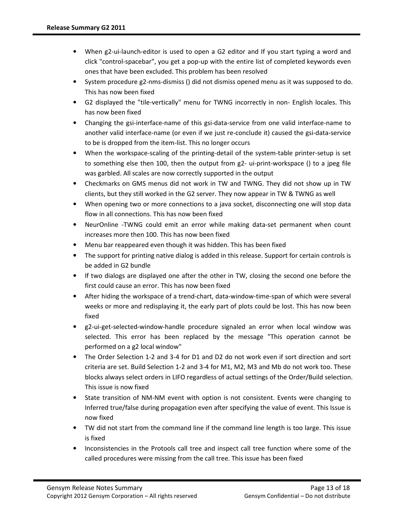- When g2-ui-launch-editor is used to open a G2 editor and If you start typing a word and click "control-spacebar", you get a pop-up with the entire list of completed keywords even ones that have been excluded. This problem has been resolved
- System procedure g2-nms-dismiss () did not dismiss opened menu as it was supposed to do. This has now been fixed
- G2 displayed the "tile-vertically" menu for TWNG incorrectly in non- English locales. This has now been fixed
- Changing the gsi-interface-name of this gsi-data-service from one valid interface-name to another valid interface-name (or even if we just re-conclude it) caused the gsi-data-service to be is dropped from the item-list. This no longer occurs
- When the workspace-scaling of the printing-detail of the system-table printer-setup is set to something else then 100, then the output from g2- ui-print-workspace () to a jpeg file was garbled. All scales are now correctly supported in the output
- Checkmarks on GMS menus did not work in TW and TWNG. They did not show up in TW clients, but they still worked in the G2 server. They now appear in TW & TWNG as well
- When opening two or more connections to a java socket, disconnecting one will stop data flow in all connections. This has now been fixed
- NeurOnline -TWNG could emit an error while making data-set permanent when count increases more then 100. This has now been fixed
- Menu bar reappeared even though it was hidden. This has been fixed
- The support for printing native dialog is added in this release. Support for certain controls is be added in G2 bundle
- If two dialogs are displayed one after the other in TW, closing the second one before the first could cause an error. This has now been fixed
- After hiding the workspace of a trend-chart, data-window-time-span of which were several weeks or more and redisplaying it, the early part of plots could be lost. This has now been fixed
- g2-ui-get-selected-window-handle procedure signaled an error when local window was selected. This error has been replaced by the message "This operation cannot be performed on a g2 local window"
- The Order Selection 1-2 and 3-4 for D1 and D2 do not work even if sort direction and sort criteria are set. Build Selection 1-2 and 3-4 for M1, M2, M3 and Mb do not work too. These blocks always select orders in LIFO regardless of actual settings of the Order/Build selection. This issue is now fixed
- State transition of NM-NM event with option is not consistent. Events were changing to Inferred true/false during propagation even after specifying the value of event. This Issue is now fixed
- TW did not start from the command line if the command line length is too large. This issue is fixed
- Inconsistencies in the Protools call tree and inspect call tree function where some of the called procedures were missing from the call tree. This issue has been fixed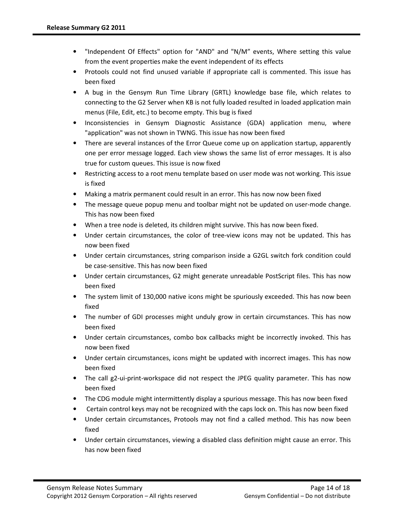- "Independent Of Effects" option for "AND" and "N/M" events, Where setting this value from the event properties make the event independent of its effects
- Protools could not find unused variable if appropriate call is commented. This issue has been fixed
- A bug in the Gensym Run Time Library (GRTL) knowledge base file, which relates to connecting to the G2 Server when KB is not fully loaded resulted in loaded application main menus (File, Edit, etc.) to become empty. This bug is fixed
- Inconsistencies in Gensym Diagnostic Assistance (GDA) application menu, where "application" was not shown in TWNG. This issue has now been fixed
- There are several instances of the Error Queue come up on application startup, apparently one per error message logged. Each view shows the same list of error messages. It is also true for custom queues. This issue is now fixed
- Restricting access to a root menu template based on user mode was not working. This issue is fixed
- Making a matrix permanent could result in an error. This has now now been fixed
- The message queue popup menu and toolbar might not be updated on user-mode change. This has now been fixed
- When a tree node is deleted, its children might survive. This has now been fixed.
- Under certain circumstances, the color of tree-view icons may not be updated. This has now been fixed
- Under certain circumstances, string comparison inside a G2GL switch fork condition could be case-sensitive. This has now been fixed
- Under certain circumstances, G2 might generate unreadable PostScript files. This has now been fixed
- The system limit of 130,000 native icons might be spuriously exceeded. This has now been fixed
- The number of GDI processes might unduly grow in certain circumstances. This has now been fixed
- Under certain circumstances, combo box callbacks might be incorrectly invoked. This has now been fixed
- Under certain circumstances, icons might be updated with incorrect images. This has now been fixed
- The call g2-ui-print-workspace did not respect the JPEG quality parameter. This has now been fixed
- The CDG module might intermittently display a spurious message. This has now been fixed
- Certain control keys may not be recognized with the caps lock on. This has now been fixed
- Under certain circumstances, Protools may not find a called method. This has now been fixed
- Under certain circumstances, viewing a disabled class definition might cause an error. This has now been fixed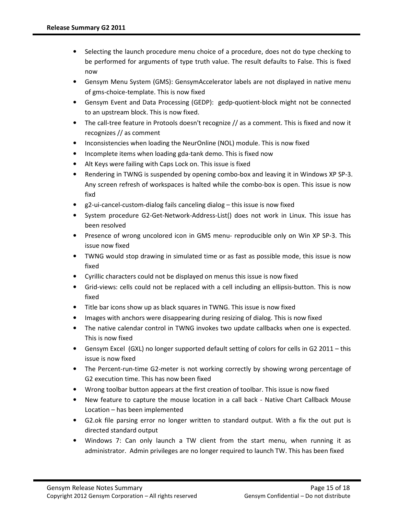- Selecting the launch procedure menu choice of a procedure, does not do type checking to be performed for arguments of type truth value. The result defaults to False. This is fixed now
- Gensym Menu System (GMS): GensymAccelerator labels are not displayed in native menu of gms-choice-template. This is now fixed
- Gensym Event and Data Processing (GEDP): gedp-quotient-block might not be connected to an upstream block. This is now fixed.
- The call-tree feature in Protools doesn't recognize // as a comment. This is fixed and now it recognizes // as comment
- Inconsistencies when loading the NeurOnline (NOL) module. This is now fixed
- Incomplete items when loading gda-tank demo. This is fixed now
- Alt Keys were failing with Caps Lock on. This issue is fixed
- Rendering in TWNG is suspended by opening combo-box and leaving it in Windows XP SP-3. Any screen refresh of workspaces is halted while the combo-box is open. This issue is now fixd
- g2-ui-cancel-custom-dialog fails canceling dialog this issue is now fixed
- System procedure G2-Get-Network-Address-List() does not work in Linux. This issue has been resolved
- Presence of wrong uncolored icon in GMS menu- reproducible only on Win XP SP-3. This issue now fixed
- TWNG would stop drawing in simulated time or as fast as possible mode, this issue is now fixed
- Cyrillic characters could not be displayed on menus this issue is now fixed
- Grid-views: cells could not be replaced with a cell including an ellipsis-button. This is now fixed
- Title bar icons show up as black squares in TWNG. This issue is now fixed
- Images with anchors were disappearing during resizing of dialog. This is now fixed
- The native calendar control in TWNG invokes two update callbacks when one is expected. This is now fixed
- Gensym Excel (GXL) no longer supported default setting of colors for cells in G2 2011 this issue is now fixed
- The Percent-run-time G2-meter is not working correctly by showing wrong percentage of G2 execution time. This has now been fixed
- Wrong toolbar button appears at the first creation of toolbar. This issue is now fixed
- New feature to capture the mouse location in a call back Native Chart Callback Mouse Location – has been implemented
- G2.ok file parsing error no longer written to standard output. With a fix the out put is directed standard output
- Windows 7: Can only launch a TW client from the start menu, when running it as administrator. Admin privileges are no longer required to launch TW. This has been fixed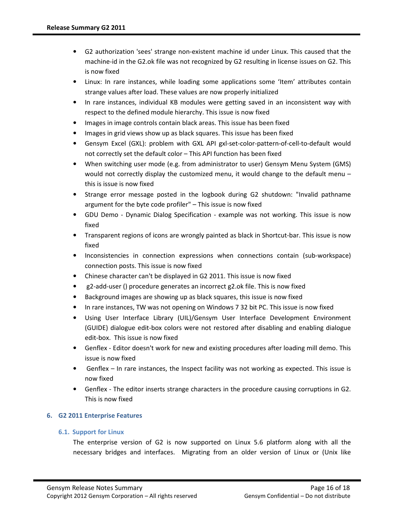- G2 authorization 'sees' strange non-existent machine id under Linux. This caused that the machine-id in the G2.ok file was not recognized by G2 resulting in license issues on G2. This is now fixed
- Linux: In rare instances, while loading some applications some 'Item' attributes contain strange values after load. These values are now properly initialized
- In rare instances, individual KB modules were getting saved in an inconsistent way with respect to the defined module hierarchy. This issue is now fixed
- Images in image controls contain black areas. This issue has been fixed
- Images in grid views show up as black squares. This issue has been fixed
- Gensym Excel (GXL): problem with GXL API gxl-set-color-pattern-of-cell-to-default would not correctly set the default color – This API function has been fixed
- When switching user mode (e.g. from administrator to user) Gensym Menu System (GMS) would not correctly display the customized menu, it would change to the default menu – this is issue is now fixed
- Strange error message posted in the logbook during G2 shutdown: "Invalid pathname argument for the byte code profiler" – This issue is now fixed
- GDU Demo Dynamic Dialog Specification example was not working. This issue is now fixed
- Transparent regions of icons are wrongly painted as black in Shortcut-bar. This issue is now fixed
- Inconsistencies in connection expressions when connections contain (sub-workspace) connection posts. This issue is now fixed
- Chinese character can't be displayed in G2 2011. This issue is now fixed
- g2-add-user () procedure generates an incorrect g2.ok file. This is now fixed
- Background images are showing up as black squares, this issue is now fixed
- In rare instances, TW was not opening on Windows 7 32 bit PC. This issue is now fixed
- Using User Interface Library (UIL)/Gensym User Interface Development Environment (GUIDE) dialogue edit-box colors were not restored after disabling and enabling dialogue edit-box. This issue is now fixed
- Genflex Editor doesn't work for new and existing procedures after loading mill demo. This issue is now fixed
- Genflex In rare instances, the Inspect facility was not working as expected. This issue is now fixed
- Genflex The editor inserts strange characters in the procedure causing corruptions in G2. This is now fixed

# 6. G2 2011 Enterprise Features

# 6.1. Support for Linux

The enterprise version of G2 is now supported on Linux 5.6 platform along with all the necessary bridges and interfaces. Migrating from an older version of Linux or (Unix like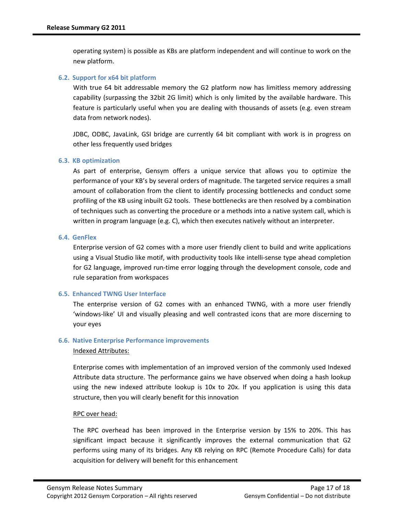operating system) is possible as KBs are platform independent and will continue to work on the new platform.

#### 6.2. Support for x64 bit platform

With true 64 bit addressable memory the G2 platform now has limitless memory addressing capability (surpassing the 32bit 2G limit) which is only limited by the available hardware. This feature is particularly useful when you are dealing with thousands of assets (e.g. even stream data from network nodes).

JDBC, ODBC, JavaLink, GSI bridge are currently 64 bit compliant with work is in progress on other less frequently used bridges

#### 6.3. KB optimization

As part of enterprise, Gensym offers a unique service that allows you to optimize the performance of your KB's by several orders of magnitude. The targeted service requires a small amount of collaboration from the client to identify processing bottlenecks and conduct some profiling of the KB using inbuilt G2 tools. These bottlenecks are then resolved by a combination of techniques such as converting the procedure or a methods into a native system call, which is written in program language (e.g. C), which then executes natively without an interpreter.

### 6.4. GenFlex

Enterprise version of G2 comes with a more user friendly client to build and write applications using a Visual Studio like motif, with productivity tools like intelli-sense type ahead completion for G2 language, improved run-time error logging through the development console, code and rule separation from workspaces

### 6.5. Enhanced TWNG User Interface

The enterprise version of G2 comes with an enhanced TWNG, with a more user friendly 'windows-like' UI and visually pleasing and well contrasted icons that are more discerning to your eyes

# 6.6. Native Enterprise Performance improvements

### Indexed Attributes:

Enterprise comes with implementation of an improved version of the commonly used Indexed Attribute data structure. The performance gains we have observed when doing a hash lookup using the new indexed attribute lookup is 10x to 20x. If you application is using this data structure, then you will clearly benefit for this innovation

### RPC over head:

The RPC overhead has been improved in the Enterprise version by 15% to 20%. This has significant impact because it significantly improves the external communication that G2 performs using many of its bridges. Any KB relying on RPC (Remote Procedure Calls) for data acquisition for delivery will benefit for this enhancement